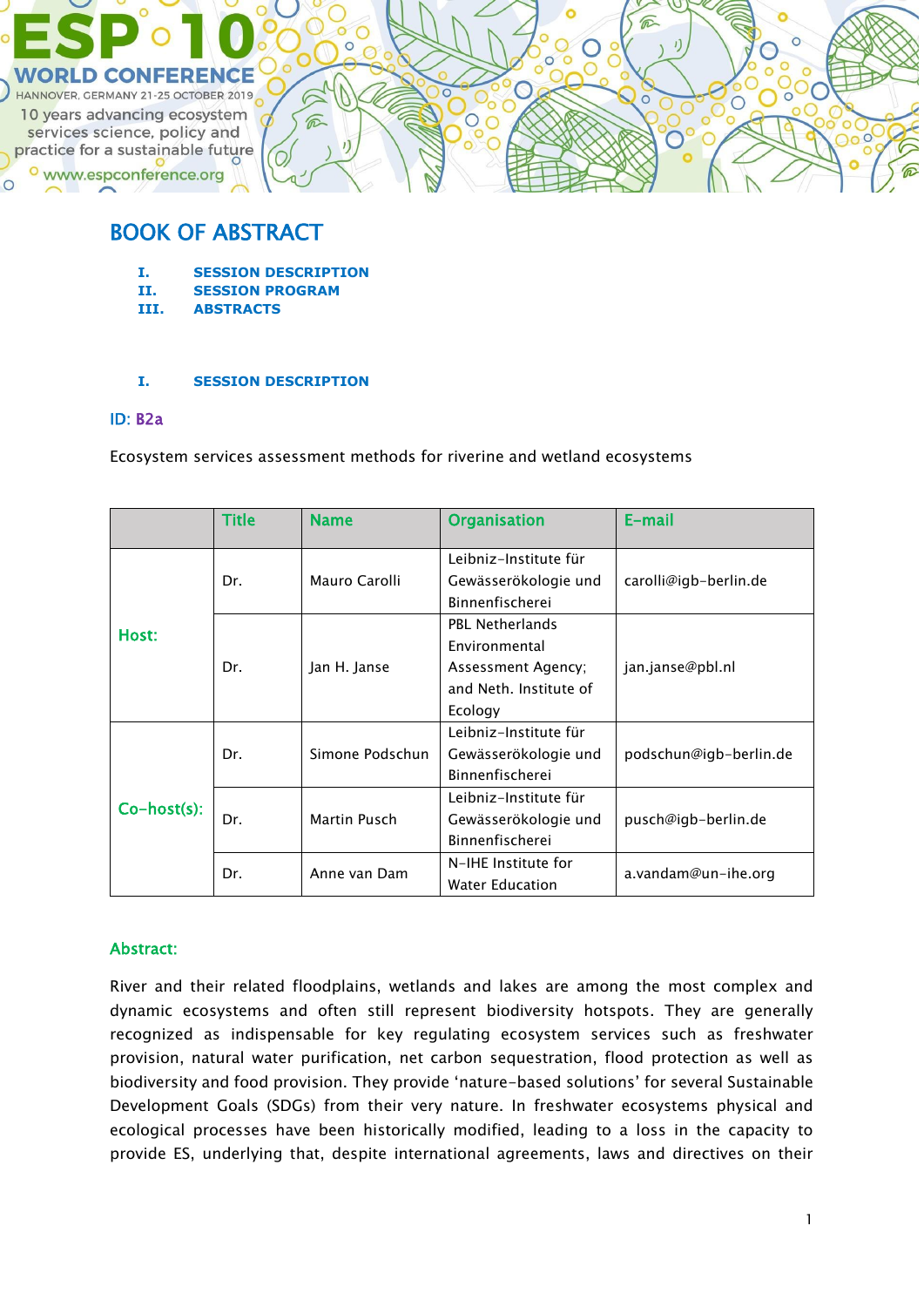

# BOOK OF ABSTRACT

- **I. SESSION DESCRIPTION**
- **II. SESSION PROGRAM**
- **III. ABSTRACTS**

### **I. SESSION DESCRIPTION**

### ID: B2a

Ecosystem services assessment methods for riverine and wetland ecosystems

|                | <b>Title</b> | <b>Name</b>     | <b>Organisation</b>                        | E-mail                 |  |
|----------------|--------------|-----------------|--------------------------------------------|------------------------|--|
| Host:          | Dr.          |                 | Leibniz-Institute für                      |                        |  |
|                |              | Mauro Carolli   | Gewässerökologie und<br>Binnenfischerei    | carolli@igb-berlin.de  |  |
|                | Dr.          |                 | <b>PBL Netherlands</b>                     |                        |  |
|                |              | Jan H. Janse    | Environmental                              | jan.janse@pbl.nl       |  |
|                |              |                 | Assessment Agency;                         |                        |  |
|                |              |                 | and Neth. Institute of                     |                        |  |
|                |              |                 | Ecology                                    |                        |  |
| $Co-host(s)$ : | Dr.          |                 | Leibniz-Institute für                      |                        |  |
|                |              | Simone Podschun | Gewässerökologie und                       | podschun@igb-berlin.de |  |
|                |              |                 | Binnenfischerei                            |                        |  |
|                | Dr.          | Martin Pusch    | Leibniz-Institute für                      |                        |  |
|                |              |                 | Gewässerökologie und                       | pusch@igb-berlin.de    |  |
|                |              |                 | Binnenfischerei                            |                        |  |
|                | Dr.          | Anne van Dam    | N-IHE Institute for<br>a.vandam@un-ihe.org |                        |  |
|                |              |                 | <b>Water Education</b>                     |                        |  |

## Abstract:

River and their related floodplains, wetlands and lakes are among the most complex and dynamic ecosystems and often still represent biodiversity hotspots. They are generally recognized as indispensable for key regulating ecosystem services such as freshwater provision, natural water purification, net carbon sequestration, flood protection as well as biodiversity and food provision. They provide 'nature-based solutions' for several Sustainable Development Goals (SDGs) from their very nature. In freshwater ecosystems physical and ecological processes have been historically modified, leading to a loss in the capacity to provide ES, underlying that, despite international agreements, laws and directives on their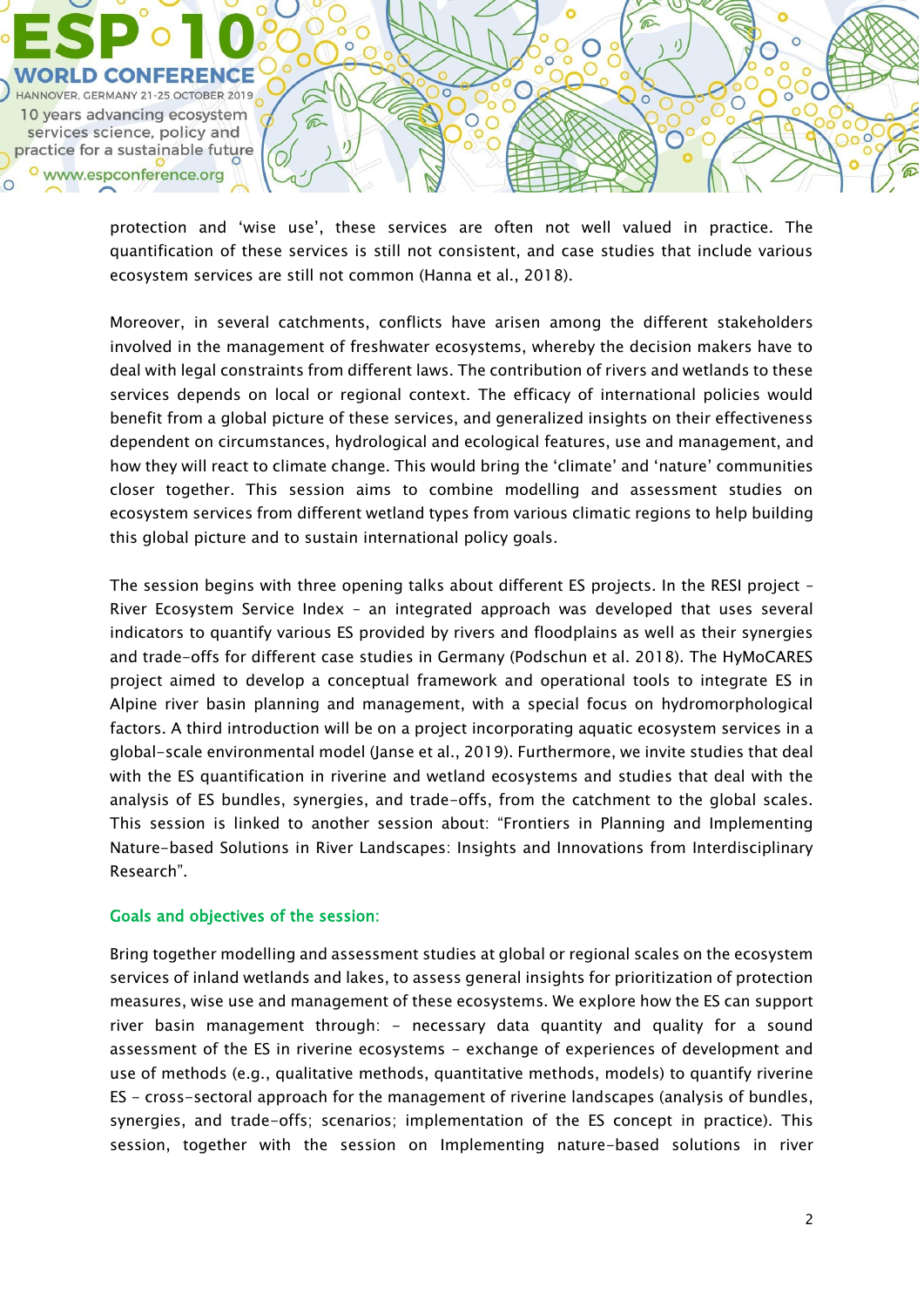

protection and 'wise use', these services are often not well valued in practice. The quantification of these services is still not consistent, and case studies that include various ecosystem services are still not common (Hanna et al., 2018).

Moreover, in several catchments, conflicts have arisen among the different stakeholders involved in the management of freshwater ecosystems, whereby the decision makers have to deal with legal constraints from different laws. The contribution of rivers and wetlands to these services depends on local or regional context. The efficacy of international policies would benefit from a global picture of these services, and generalized insights on their effectiveness dependent on circumstances, hydrological and ecological features, use and management, and how they will react to climate change. This would bring the 'climate' and 'nature' communities closer together. This session aims to combine modelling and assessment studies on ecosystem services from different wetland types from various climatic regions to help building this global picture and to sustain international policy goals.

The session begins with three opening talks about different ES projects. In the RESI project -River Ecosystem Service Index – an integrated approach was developed that uses several indicators to quantify various ES provided by rivers and floodplains as well as their synergies and trade-offs for different case studies in Germany (Podschun et al. 2018). The HyMoCARES project aimed to develop a conceptual framework and operational tools to integrate ES in Alpine river basin planning and management, with a special focus on hydromorphological factors. A third introduction will be on a project incorporating aquatic ecosystem services in a global-scale environmental model (Janse et al., 2019). Furthermore, we invite studies that deal with the ES quantification in riverine and wetland ecosystems and studies that deal with the analysis of ES bundles, synergies, and trade-offs, from the catchment to the global scales. This session is linked to another session about: "Frontiers in Planning and Implementing Nature-based Solutions in River Landscapes: Insights and Innovations from Interdisciplinary Research".

#### Goals and objectives of the session:

Bring together modelling and assessment studies at global or regional scales on the ecosystem services of inland wetlands and lakes, to assess general insights for prioritization of protection measures, wise use and management of these ecosystems. We explore how the ES can support river basin management through: - necessary data quantity and quality for a sound assessment of the ES in riverine ecosystems - exchange of experiences of development and use of methods (e.g., qualitative methods, quantitative methods, models) to quantify riverine ES - cross-sectoral approach for the management of riverine landscapes (analysis of bundles, synergies, and trade-offs; scenarios; implementation of the ES concept in practice). This session, together with the session on Implementing nature-based solutions in river

 $\overline{\circ}$ 

 $\circ$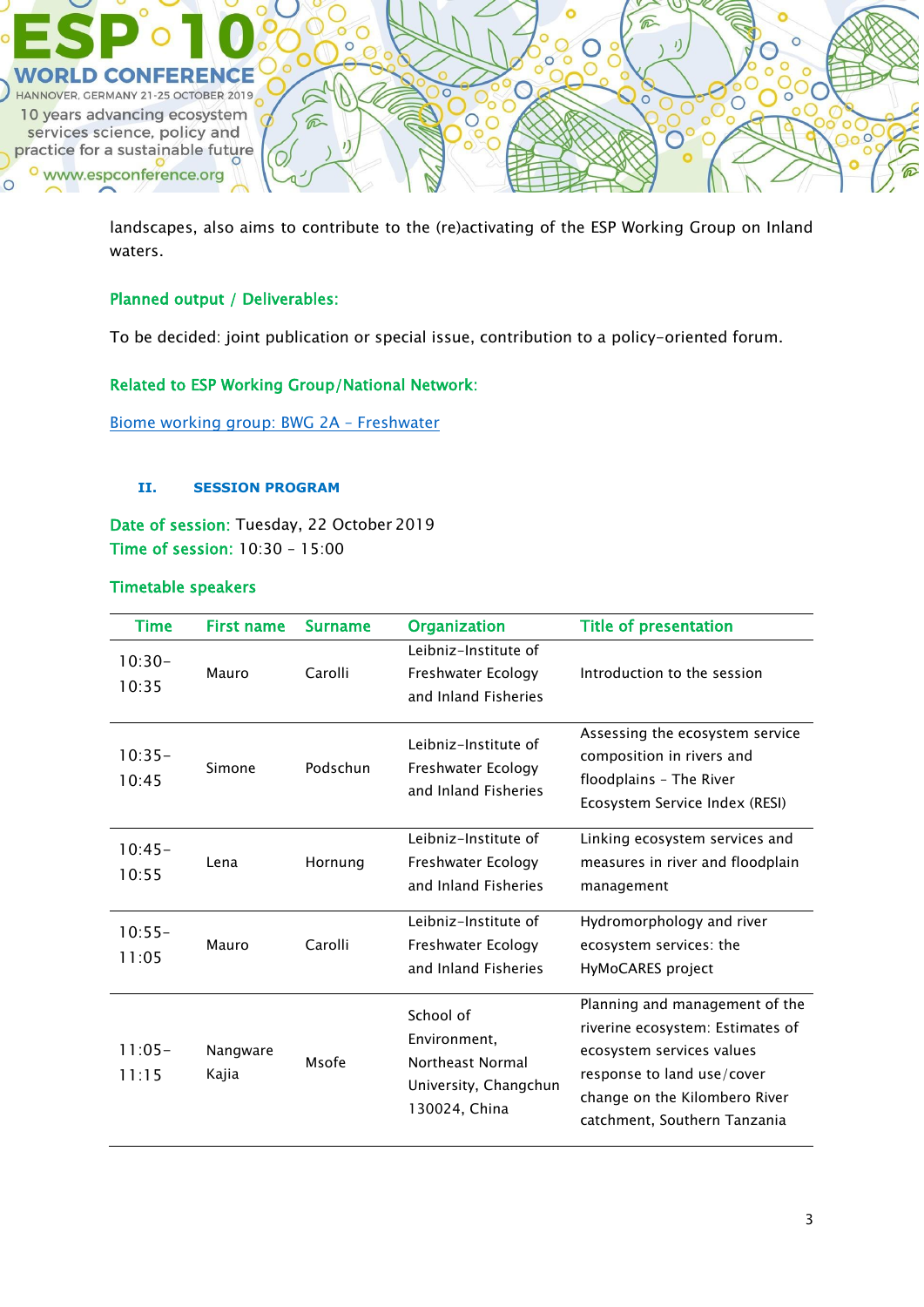

landscapes, also aims to contribute to the (re)activating of the ESP Working Group on Inland waters.

## Planned output / Deliverables:

To be decided: joint publication or special issue, contribution to a policy-oriented forum.

### Related to ESP Working Group/National Network:

[Biome working group: BWG 2A](https://www.es-partnership.org/community/workings-groups/biome-working-groups/bwg-2-freshwater-systems/2a-freshwater-wetlands/) – Freshwater

#### **II. SESSION PROGRAM**

Date of session: Tuesday, 22 October 2019 Time of session: 10:30 – 15:00

## Timetable speakers

| <b>Time</b>        | <b>First name</b> | <b>Surname</b> | <b>Organization</b>                                                                     | <b>Title of presentation</b>                                                                                                                                                                   |
|--------------------|-------------------|----------------|-----------------------------------------------------------------------------------------|------------------------------------------------------------------------------------------------------------------------------------------------------------------------------------------------|
| $10:30-$<br>10:35  | Mauro             | Carolli        | Leibniz-Institute of<br>Freshwater Ecology<br>and Inland Fisheries                      | Introduction to the session                                                                                                                                                                    |
| $10:35-$<br>10:45  | Simone            | Podschun       | Leibniz-Institute of<br>Freshwater Ecology<br>and Inland Fisheries                      | Assessing the ecosystem service<br>composition in rivers and<br>floodplains - The River<br>Ecosystem Service Index (RESI)                                                                      |
| $10:45-$<br>10:55  | Lena              | Hornung        | Leibniz-Institute of<br>Freshwater Ecology<br>and Inland Fisheries                      | Linking ecosystem services and<br>measures in river and floodplain<br>management                                                                                                               |
| $10:55 -$<br>11:05 | Mauro             | Carolli        | Leibniz-Institute of<br>Freshwater Ecology<br>and Inland Fisheries                      | Hydromorphology and river<br>ecosystem services: the<br>HyMoCARES project                                                                                                                      |
| $11:05-$<br>11:15  | Nangware<br>Kajia | Msofe          | School of<br>Environment,<br>Northeast Normal<br>University, Changchun<br>130024, China | Planning and management of the<br>riverine ecosystem: Estimates of<br>ecosystem services values<br>response to land use/cover<br>change on the Kilombero River<br>catchment, Southern Tanzania |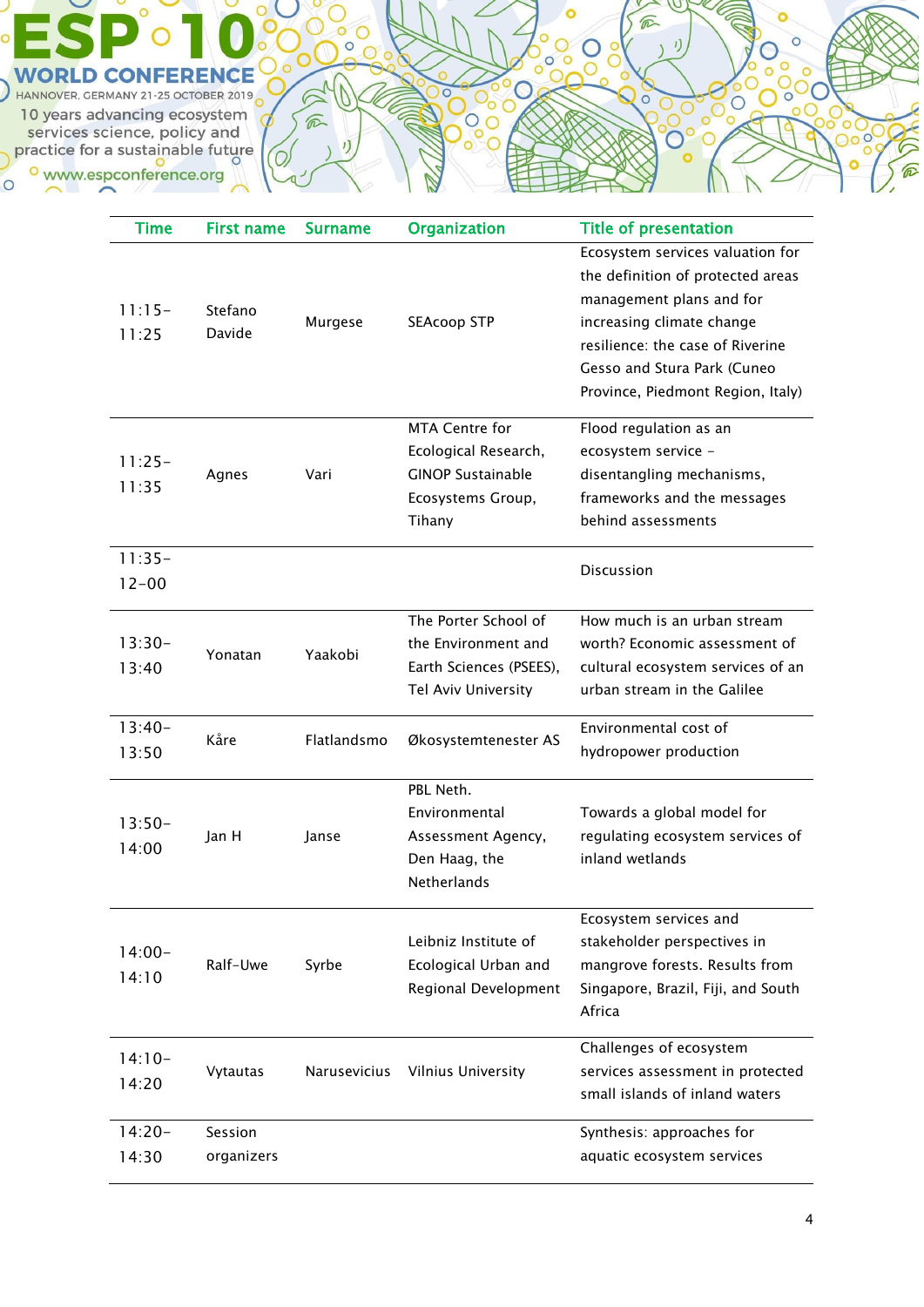ö C  $\frac{6}{300}$  $\circ$  $\bigcirc$  $\circ$  $\overline{O}$ **WORLD CONFERENCE**  $\overline{O}$ HANNOVER, GERMANY 21-25 OCTOBER 2019  $\sqrt{2}$  $\overline{C}$ 10 years advancing ecosystem こうしょう かんじょう しょうかい しゅうしょう しゅうしょう じゅんじょう じゅうしょう じゅうかい しゅうかい しゅうしょう じょうしゅう しょうしゅう しょうしゅう しょうしゅう services science, policy and practice for a sustainable future  $\overline{v}$ O <sup>o</sup> www.espconference.org  $\circ$ 

| Time                  | <b>First name</b>     | <b>Surname</b> | <b>Organization</b>                                                                                      | <b>Title of presentation</b>                                                                                                                                                                                                           |
|-----------------------|-----------------------|----------------|----------------------------------------------------------------------------------------------------------|----------------------------------------------------------------------------------------------------------------------------------------------------------------------------------------------------------------------------------------|
| $11:15-$<br>11:25     | Stefano<br>Davide     | Murgese        | <b>SEAcoop STP</b>                                                                                       | Ecosystem services valuation for<br>the definition of protected areas<br>management plans and for<br>increasing climate change<br>resilience: the case of Riverine<br>Gesso and Stura Park (Cuneo<br>Province, Piedmont Region, Italy) |
| $11:25-$<br>11:35     | Agnes                 | Vari           | <b>MTA Centre for</b><br>Ecological Research,<br><b>GINOP Sustainable</b><br>Ecosystems Group,<br>Tihany | Flood regulation as an<br>ecosystem service -<br>disentangling mechanisms,<br>frameworks and the messages<br>behind assessments                                                                                                        |
| $11:35-$<br>$12 - 00$ |                       |                |                                                                                                          | <b>Discussion</b>                                                                                                                                                                                                                      |
| $13:30-$<br>13:40     | Yonatan               | Yaakobi        | The Porter School of<br>the Environment and<br>Earth Sciences (PSEES),<br>Tel Aviv University            | How much is an urban stream<br>worth? Economic assessment of<br>cultural ecosystem services of an<br>urban stream in the Galilee                                                                                                       |
| $13:40-$<br>13:50     | Kåre                  | Flatlandsmo    | Økosystemtenester AS                                                                                     | Environmental cost of<br>hydropower production                                                                                                                                                                                         |
| $13:50-$<br>14:00     | Jan H                 | Janse          | PBL Neth.<br>Environmental<br>Assessment Agency,<br>Den Haag, the<br>Netherlands                         | Towards a global model for<br>regulating ecosystem services of<br>inland wetlands                                                                                                                                                      |
| $14:00 -$<br>14:10    | Ralf-Uwe              | Syrbe          | Leibniz Institute of<br>Ecological Urban and<br>Regional Development                                     | Ecosystem services and<br>stakeholder perspectives in<br>mangrove forests. Results from<br>Singapore, Brazil, Fiji, and South<br>Africa                                                                                                |
| $14:10-$<br>14:20     | Vytautas              | Narusevicius   | <b>Vilnius University</b>                                                                                | Challenges of ecosystem<br>services assessment in protected<br>small islands of inland waters                                                                                                                                          |
| $14:20-$<br>14:30     | Session<br>organizers |                |                                                                                                          | Synthesis: approaches for<br>aquatic ecosystem services                                                                                                                                                                                |

 $\widehat{\varpi}$ 

 $\overline{O}$ 

 $\eta$ 

 $8^{\circ}$ 

**Pool** O

 $\overline{C}$ 

 $\circ$ O

Ió  $\circ$ 

 $\overline{C}$ 

 $\circ$ **DOC**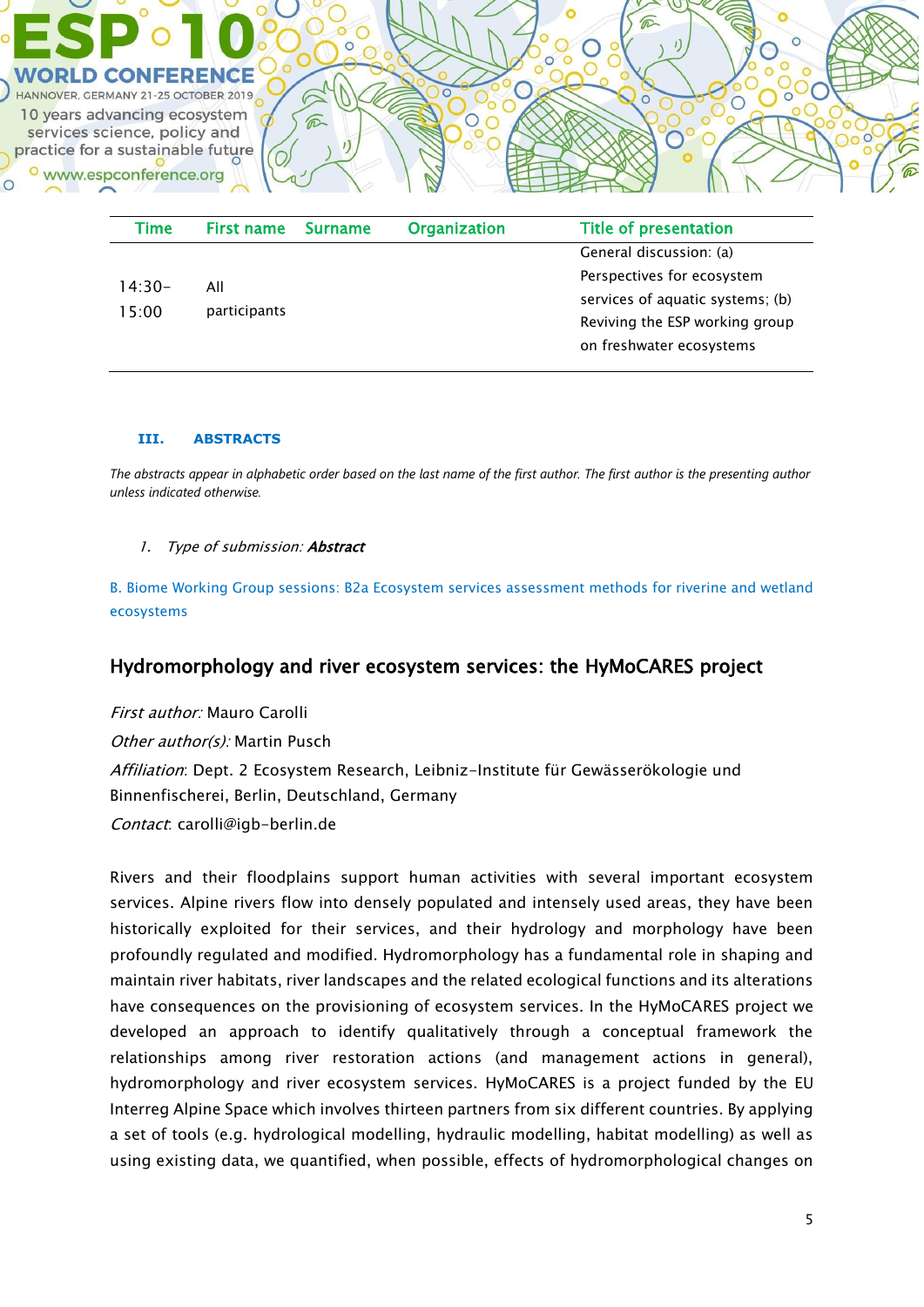

| Time     | First name   | <b>Surname</b> | <b>Organization</b> | <b>Title of presentation</b>     |
|----------|--------------|----------------|---------------------|----------------------------------|
|          |              |                |                     | General discussion: (a)          |
| $14:30-$ | All          |                |                     | Perspectives for ecosystem       |
| 15:00    | participants |                |                     | services of aquatic systems; (b) |
|          |              |                |                     | Reviving the ESP working group   |
|          |              |                |                     | on freshwater ecosystems         |

#### **III. ABSTRACTS**

*The abstracts appear in alphabetic order based on the last name of the first author. The first author is the presenting author unless indicated otherwise.*

#### 1. Type of submission: **Abstract**

B. Biome Working Group sessions: B2a Ecosystem services assessment methods for riverine and wetland ecosystems

## Hydromorphology and river ecosystem services: the HyMoCARES project

First author: Mauro Carolli Other author(s): Martin Pusch Affiliation: Dept. 2 Ecosystem Research, Leibniz-Institute für Gewässerökologie und Binnenfischerei, Berlin, Deutschland, Germany Contact: carolli@igb-berlin.de

Rivers and their floodplains support human activities with several important ecosystem services. Alpine rivers flow into densely populated and intensely used areas, they have been historically exploited for their services, and their hydrology and morphology have been profoundly regulated and modified. Hydromorphology has a fundamental role in shaping and maintain river habitats, river landscapes and the related ecological functions and its alterations have consequences on the provisioning of ecosystem services. In the HyMoCARES project we developed an approach to identify qualitatively through a conceptual framework the relationships among river restoration actions (and management actions in general), hydromorphology and river ecosystem services. HyMoCARES is a project funded by the EU Interreg Alpine Space which involves thirteen partners from six different countries. By applying a set of tools (e.g. hydrological modelling, hydraulic modelling, habitat modelling) as well as using existing data, we quantified, when possible, effects of hydromorphological changes on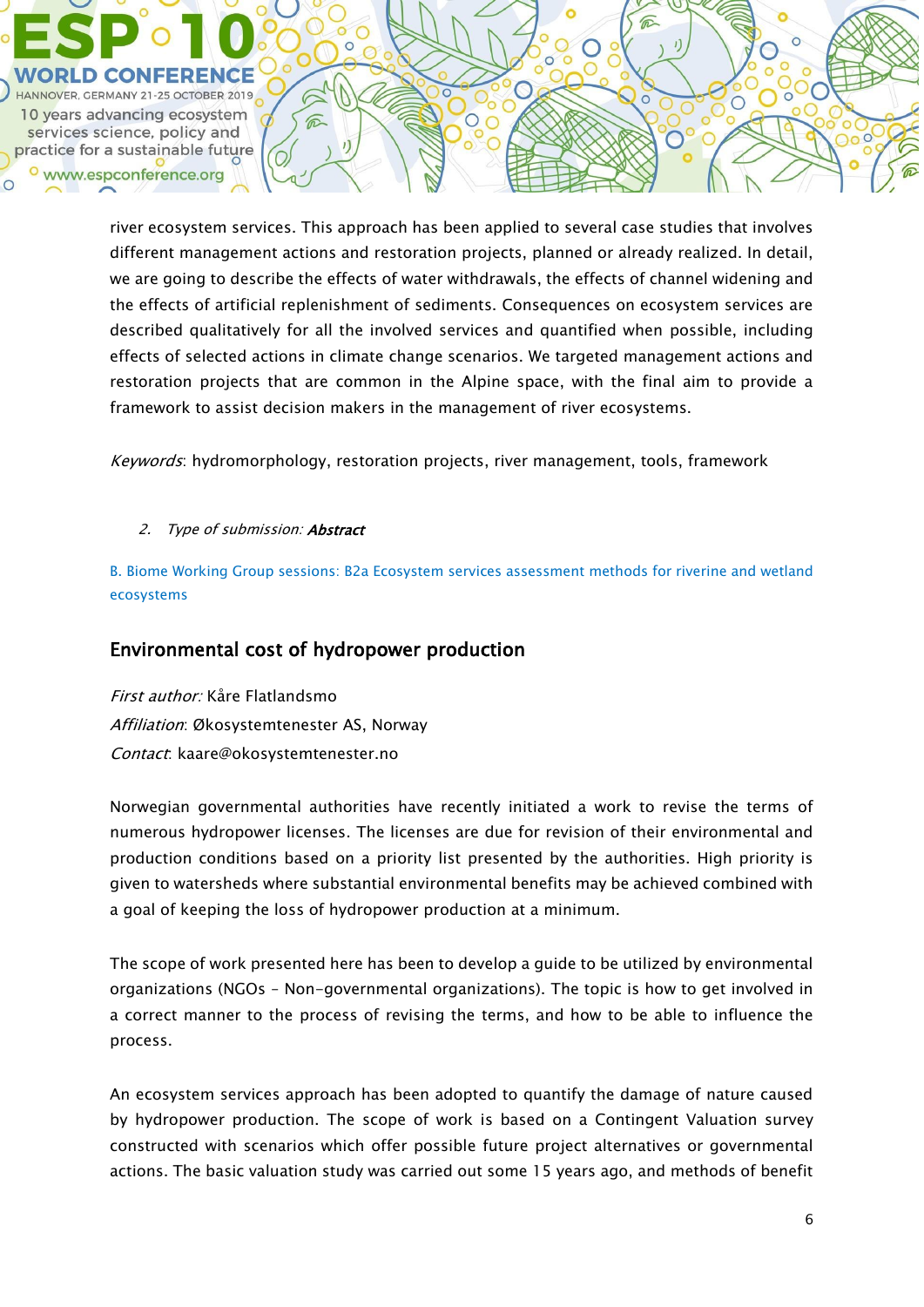

river ecosystem services. This approach has been applied to several case studies that involves different management actions and restoration projects, planned or already realized. In detail, we are going to describe the effects of water withdrawals, the effects of channel widening and the effects of artificial replenishment of sediments. Consequences on ecosystem services are described qualitatively for all the involved services and quantified when possible, including effects of selected actions in climate change scenarios. We targeted management actions and restoration projects that are common in the Alpine space, with the final aim to provide a framework to assist decision makers in the management of river ecosystems.

Keywords: hydromorphology, restoration projects, river management, tools, framework

### 2. Type of submission: **Abstract**

B. Biome Working Group sessions: B2a Ecosystem services assessment methods for riverine and wetland ecosystems

## Environmental cost of hydropower production

First author: Kåre Flatlandsmo Affiliation: Økosystemtenester AS, Norway Contact: kaare@okosystemtenester.no

Norwegian governmental authorities have recently initiated a work to revise the terms of numerous hydropower licenses. The licenses are due for revision of their environmental and production conditions based on a priority list presented by the authorities. High priority is given to watersheds where substantial environmental benefits may be achieved combined with a goal of keeping the loss of hydropower production at a minimum.

The scope of work presented here has been to develop a guide to be utilized by environmental organizations (NGOs – Non-governmental organizations). The topic is how to get involved in a correct manner to the process of revising the terms, and how to be able to influence the process.

An ecosystem services approach has been adopted to quantify the damage of nature caused by hydropower production. The scope of work is based on a Contingent Valuation survey constructed with scenarios which offer possible future project alternatives or governmental actions. The basic valuation study was carried out some 15 years ago, and methods of benefit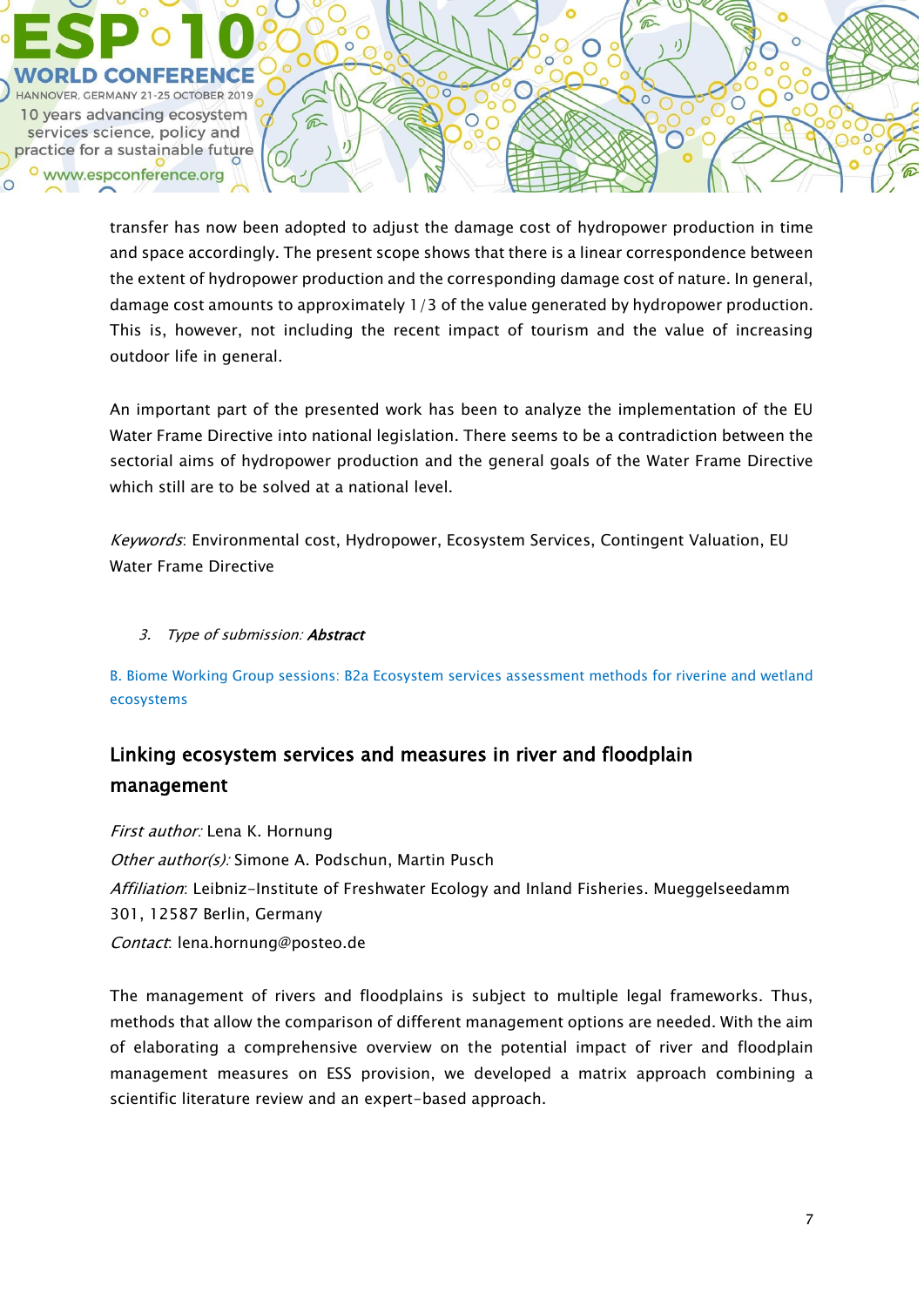

transfer has now been adopted to adjust the damage cost of hydropower production in time and space accordingly. The present scope shows that there is a linear correspondence between the extent of hydropower production and the corresponding damage cost of nature. In general, damage cost amounts to approximately 1/3 of the value generated by hydropower production. This is, however, not including the recent impact of tourism and the value of increasing outdoor life in general.

An important part of the presented work has been to analyze the implementation of the EU Water Frame Directive into national legislation. There seems to be a contradiction between the sectorial aims of hydropower production and the general goals of the Water Frame Directive which still are to be solved at a national level.

Keywords: Environmental cost, Hydropower, Ecosystem Services, Contingent Valuation, EU Water Frame Directive

### 3. Type of submission: Abstract

B. Biome Working Group sessions: B2a Ecosystem services assessment methods for riverine and wetland ecosystems

# Linking ecosystem services and measures in river and floodplain management

First author: Lena K. Hornung Other author(s): Simone A. Podschun, Martin Pusch Affiliation: Leibniz-Institute of Freshwater Ecology and Inland Fisheries. Mueggelseedamm 301, 12587 Berlin, Germany Contact: lena.hornung@posteo.de

The management of rivers and floodplains is subject to multiple legal frameworks. Thus, methods that allow the comparison of different management options are needed. With the aim of elaborating a comprehensive overview on the potential impact of river and floodplain management measures on ESS provision, we developed a matrix approach combining a scientific literature review and an expert-based approach.

 $\bigcirc$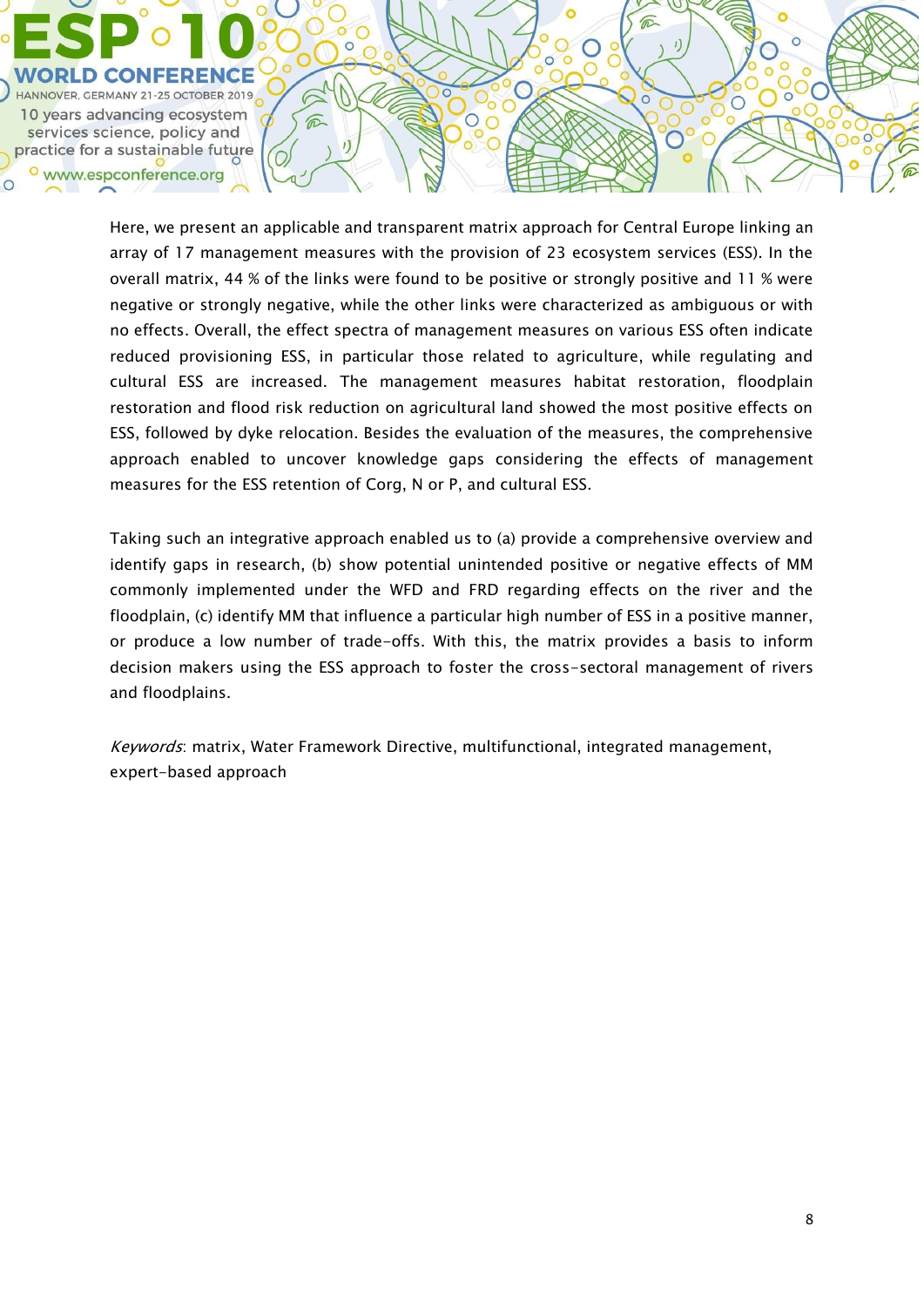

Here, we present an applicable and transparent matrix approach for Central Europe linking an array of 17 management measures with the provision of 23 ecosystem services (ESS). In the overall matrix, 44 % of the links were found to be positive or strongly positive and 11 % were negative or strongly negative, while the other links were characterized as ambiguous or with no effects. Overall, the effect spectra of management measures on various ESS often indicate reduced provisioning ESS, in particular those related to agriculture, while regulating and cultural ESS are increased. The management measures habitat restoration, floodplain restoration and flood risk reduction on agricultural land showed the most positive effects on ESS, followed by dyke relocation. Besides the evaluation of the measures, the comprehensive approach enabled to uncover knowledge gaps considering the effects of management measures for the ESS retention of Corg, N or P, and cultural ESS.

 $\circ$ 

 $\mathbb C$ 

 $\circ$  $\, \mathcal{C} \,$  ⋒

 $\mathbf{I}$ 

 $\overline{\circ}$ 

 $\circ$ 

Taking such an integrative approach enabled us to (a) provide a comprehensive overview and identify gaps in research, (b) show potential unintended positive or negative effects of MM commonly implemented under the WFD and FRD regarding effects on the river and the floodplain, (c) identify MM that influence a particular high number of ESS in a positive manner, or produce a low number of trade-offs. With this, the matrix provides a basis to inform decision makers using the ESS approach to foster the cross-sectoral management of rivers and floodplains.

Keywords: matrix, Water Framework Directive, multifunctional, integrated management, expert-based approach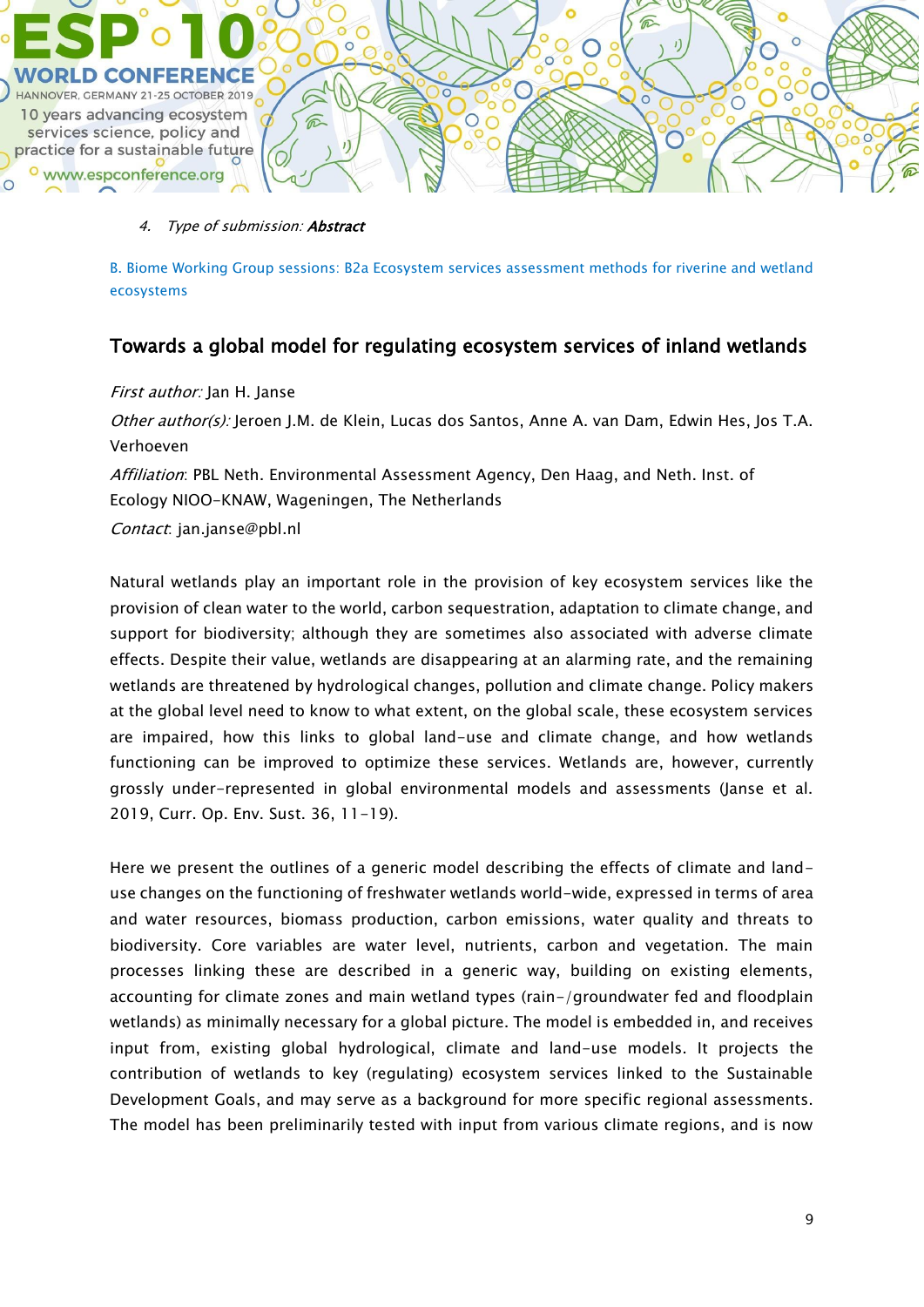

#### 4. Type of submission: **Abstract**

B. Biome Working Group sessions: B2a Ecosystem services assessment methods for riverine and wetland ecosystems

## Towards a global model for regulating ecosystem services of inland wetlands

#### First author: Jan H. Janse

Other author(s): Jeroen J.M. de Klein, Lucas dos Santos, Anne A. van Dam, Edwin Hes, Jos T.A. Verhoeven

Affiliation: PBL Neth. Environmental Assessment Agency, Den Haag, and Neth. Inst. of Ecology NIOO-KNAW, Wageningen, The Netherlands

Contact: jan.janse@pbl.nl

Natural wetlands play an important role in the provision of key ecosystem services like the provision of clean water to the world, carbon sequestration, adaptation to climate change, and support for biodiversity; although they are sometimes also associated with adverse climate effects. Despite their value, wetlands are disappearing at an alarming rate, and the remaining wetlands are threatened by hydrological changes, pollution and climate change. Policy makers at the global level need to know to what extent, on the global scale, these ecosystem services are impaired, how this links to global land-use and climate change, and how wetlands functioning can be improved to optimize these services. Wetlands are, however, currently grossly under-represented in global environmental models and assessments (Janse et al. 2019, Curr. Op. Env. Sust. 36, 11-19).

Here we present the outlines of a generic model describing the effects of climate and landuse changes on the functioning of freshwater wetlands world-wide, expressed in terms of area and water resources, biomass production, carbon emissions, water quality and threats to biodiversity. Core variables are water level, nutrients, carbon and vegetation. The main processes linking these are described in a generic way, building on existing elements, accounting for climate zones and main wetland types (rain-/groundwater fed and floodplain wetlands) as minimally necessary for a global picture. The model is embedded in, and receives input from, existing global hydrological, climate and land-use models. It projects the contribution of wetlands to key (regulating) ecosystem services linked to the Sustainable Development Goals, and may serve as a background for more specific regional assessments. The model has been preliminarily tested with input from various climate regions, and is now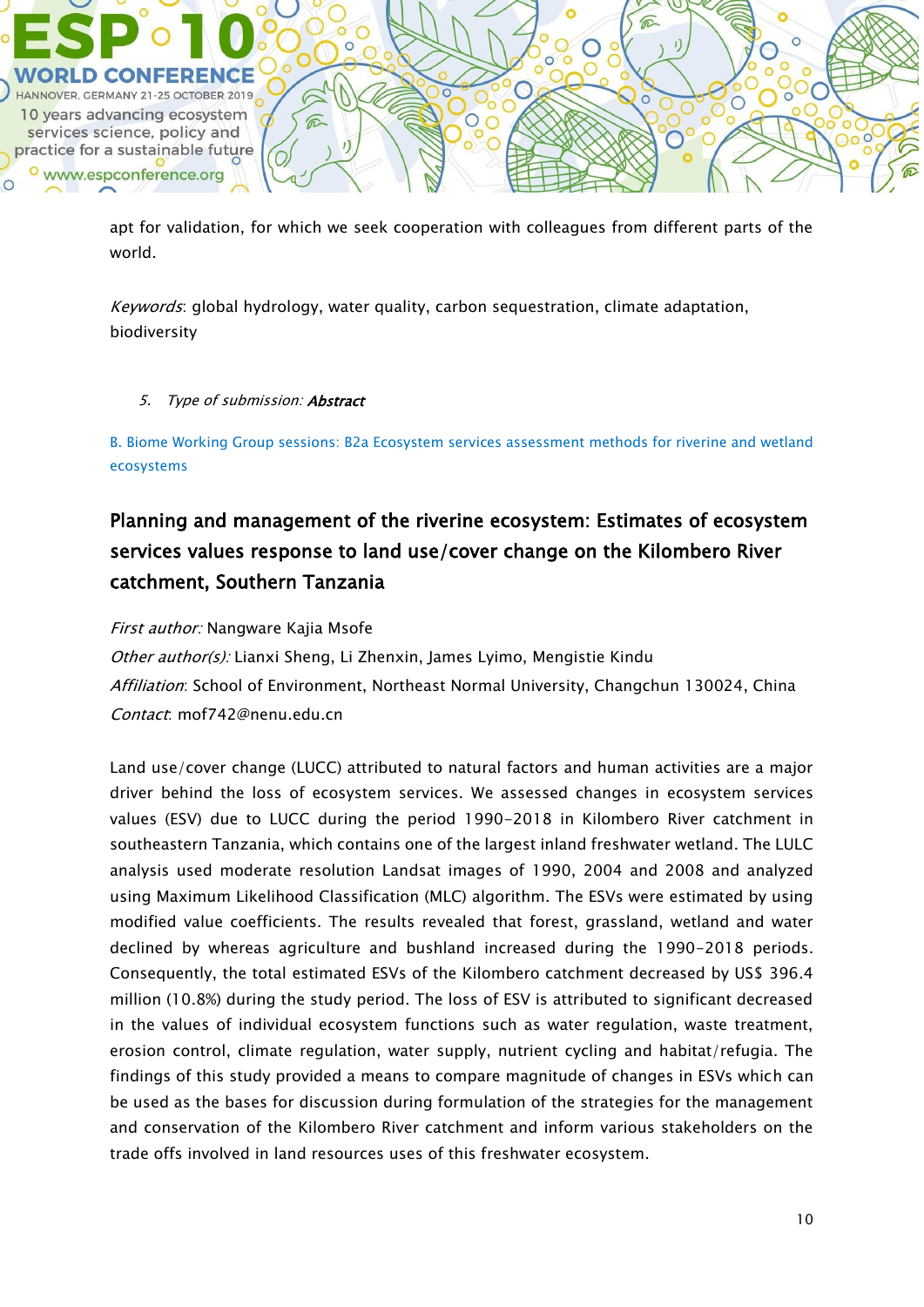

apt for validation, for which we seek cooperation with colleagues from different parts of the world.

Keywords: global hydrology, water quality, carbon sequestration, climate adaptation, biodiversity

### 5. Type of submission: Abstract

B. Biome Working Group sessions: B2a Ecosystem services assessment methods for riverine and wetland ecosystems

# Planning and management of the riverine ecosystem: Estimates of ecosystem services values response to land use/cover change on the Kilombero River catchment, Southern Tanzania

First author: Nangware Kajia Msofe

Other author(s): Lianxi Sheng, Li Zhenxin, James Lyimo, Mengistie Kindu Affiliation: School of Environment, Northeast Normal University, Changchun 130024, China Contact: mof742@nenu.edu.cn

Land use/cover change (LUCC) attributed to natural factors and human activities are a major driver behind the loss of ecosystem services. We assessed changes in ecosystem services values (ESV) due to LUCC during the period 1990-2018 in Kilombero River catchment in southeastern Tanzania, which contains one of the largest inland freshwater wetland. The LULC analysis used moderate resolution Landsat images of 1990, 2004 and 2008 and analyzed using Maximum Likelihood Classification (MLC) algorithm. The ESVs were estimated by using modified value coefficients. The results revealed that forest, grassland, wetland and water declined by whereas agriculture and bushland increased during the 1990-2018 periods. Consequently, the total estimated ESVs of the Kilombero catchment decreased by US\$ 396.4 million (10.8%) during the study period. The loss of ESV is attributed to significant decreased in the values of individual ecosystem functions such as water regulation, waste treatment, erosion control, climate regulation, water supply, nutrient cycling and habitat/refugia. The findings of this study provided a means to compare magnitude of changes in ESVs which can be used as the bases for discussion during formulation of the strategies for the management and conservation of the Kilombero River catchment and inform various stakeholders on the trade offs involved in land resources uses of this freshwater ecosystem.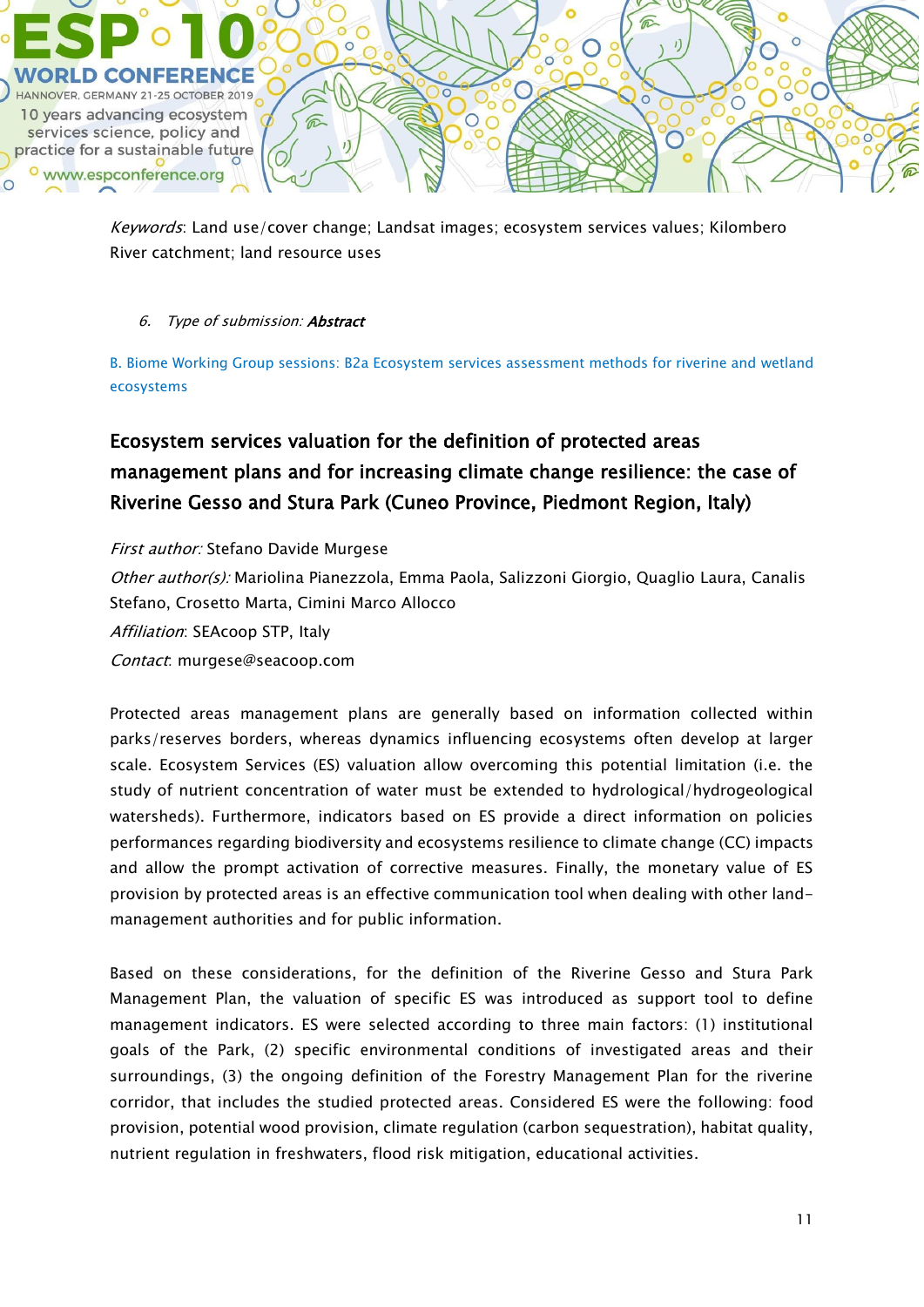

Keywords: Land use/cover change; Landsat images; ecosystem services values; Kilombero River catchment; land resource uses

## 6. Type of submission: Abstract

B. Biome Working Group sessions: B2a Ecosystem services assessment methods for riverine and wetland ecosystems

# Ecosystem services valuation for the definition of protected areas management plans and for increasing climate change resilience: the case of Riverine Gesso and Stura Park (Cuneo Province, Piedmont Region, Italy)

First author: Stefano Davide Murgese Other author(s): Mariolina Pianezzola, Emma Paola, Salizzoni Giorgio, Quaglio Laura, Canalis Stefano, Crosetto Marta, Cimini Marco Allocco Affiliation: SEAcoop STP, Italy Contact: murgese@seacoop.com

Protected areas management plans are generally based on information collected within parks/reserves borders, whereas dynamics influencing ecosystems often develop at larger scale. Ecosystem Services (ES) valuation allow overcoming this potential limitation (i.e. the study of nutrient concentration of water must be extended to hydrological/hydrogeological watersheds). Furthermore, indicators based on ES provide a direct information on policies performances regarding biodiversity and ecosystems resilience to climate change (CC) impacts and allow the prompt activation of corrective measures. Finally, the monetary value of ES provision by protected areas is an effective communication tool when dealing with other landmanagement authorities and for public information.

Based on these considerations, for the definition of the Riverine Gesso and Stura Park Management Plan, the valuation of specific ES was introduced as support tool to define management indicators. ES were selected according to three main factors: (1) institutional goals of the Park, (2) specific environmental conditions of investigated areas and their surroundings, (3) the ongoing definition of the Forestry Management Plan for the riverine corridor, that includes the studied protected areas. Considered ES were the following: food provision, potential wood provision, climate regulation (carbon sequestration), habitat quality, nutrient regulation in freshwaters, flood risk mitigation, educational activities.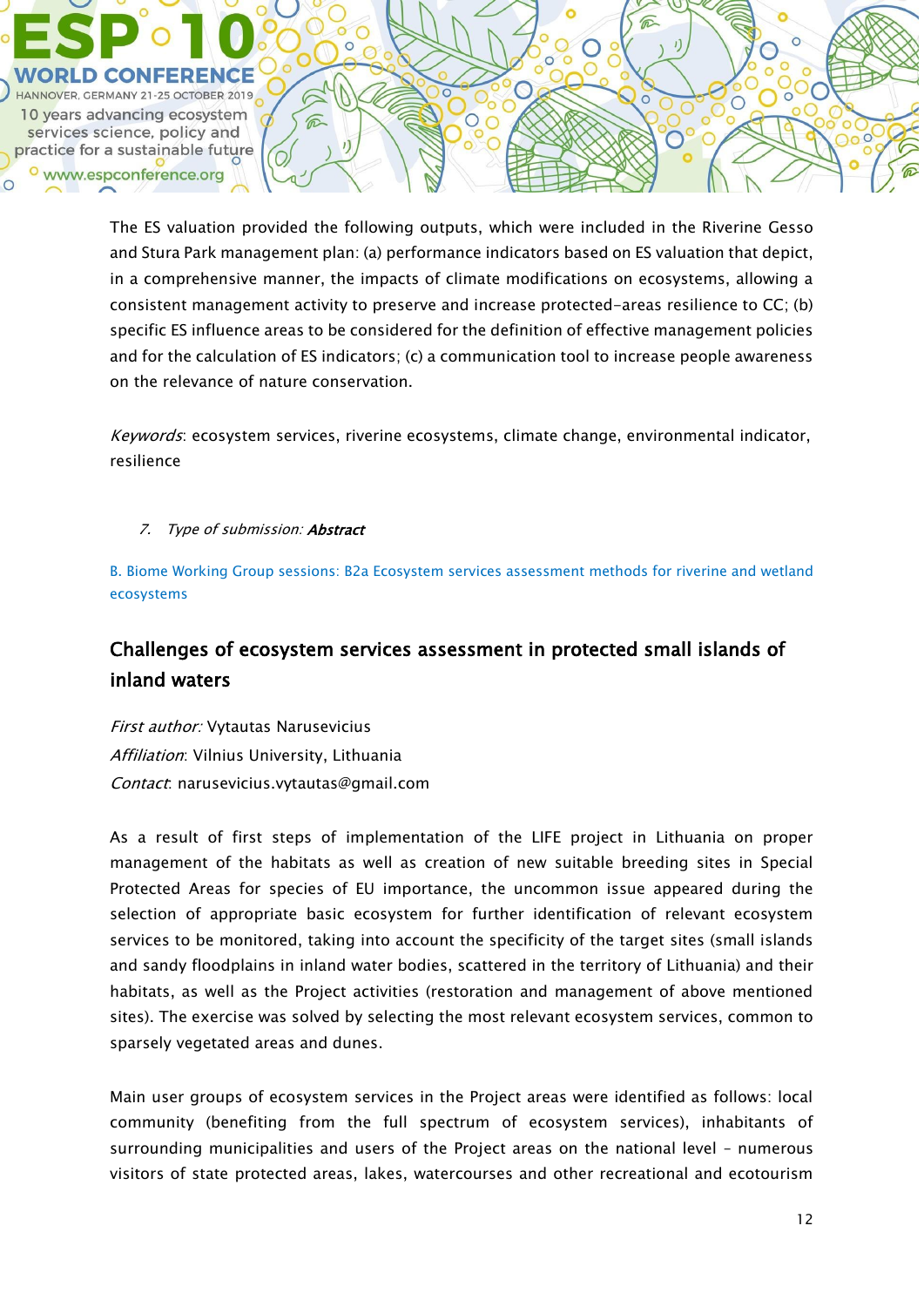

The ES valuation provided the following outputs, which were included in the Riverine Gesso and Stura Park management plan: (a) performance indicators based on ES valuation that depict, in a comprehensive manner, the impacts of climate modifications on ecosystems, allowing a consistent management activity to preserve and increase protected-areas resilience to CC; (b) specific ES influence areas to be considered for the definition of effective management policies and for the calculation of ES indicators; (c) a communication tool to increase people awareness on the relevance of nature conservation.

Keywords: ecosystem services, riverine ecosystems, climate change, environmental indicator, resilience

7. Type of submission: **Abstract** 

B. Biome Working Group sessions: B2a Ecosystem services assessment methods for riverine and wetland ecosystems

# Challenges of ecosystem services assessment in protected small islands of inland waters

First author: Vytautas Narusevicius Affiliation: Vilnius University, Lithuania Contact: narusevicius.vytautas@gmail.com

As a result of first steps of implementation of the LIFE project in Lithuania on proper management of the habitats as well as creation of new suitable breeding sites in Special Protected Areas for species of EU importance, the uncommon issue appeared during the selection of appropriate basic ecosystem for further identification of relevant ecosystem services to be monitored, taking into account the specificity of the target sites (small islands and sandy floodplains in inland water bodies, scattered in the territory of Lithuania) and their habitats, as well as the Project activities (restoration and management of above mentioned sites). The exercise was solved by selecting the most relevant ecosystem services, common to sparsely vegetated areas and dunes.

Main user groups of ecosystem services in the Project areas were identified as follows: local community (benefiting from the full spectrum of ecosystem services), inhabitants of surrounding municipalities and users of the Project areas on the national level – numerous visitors of state protected areas, lakes, watercourses and other recreational and ecotourism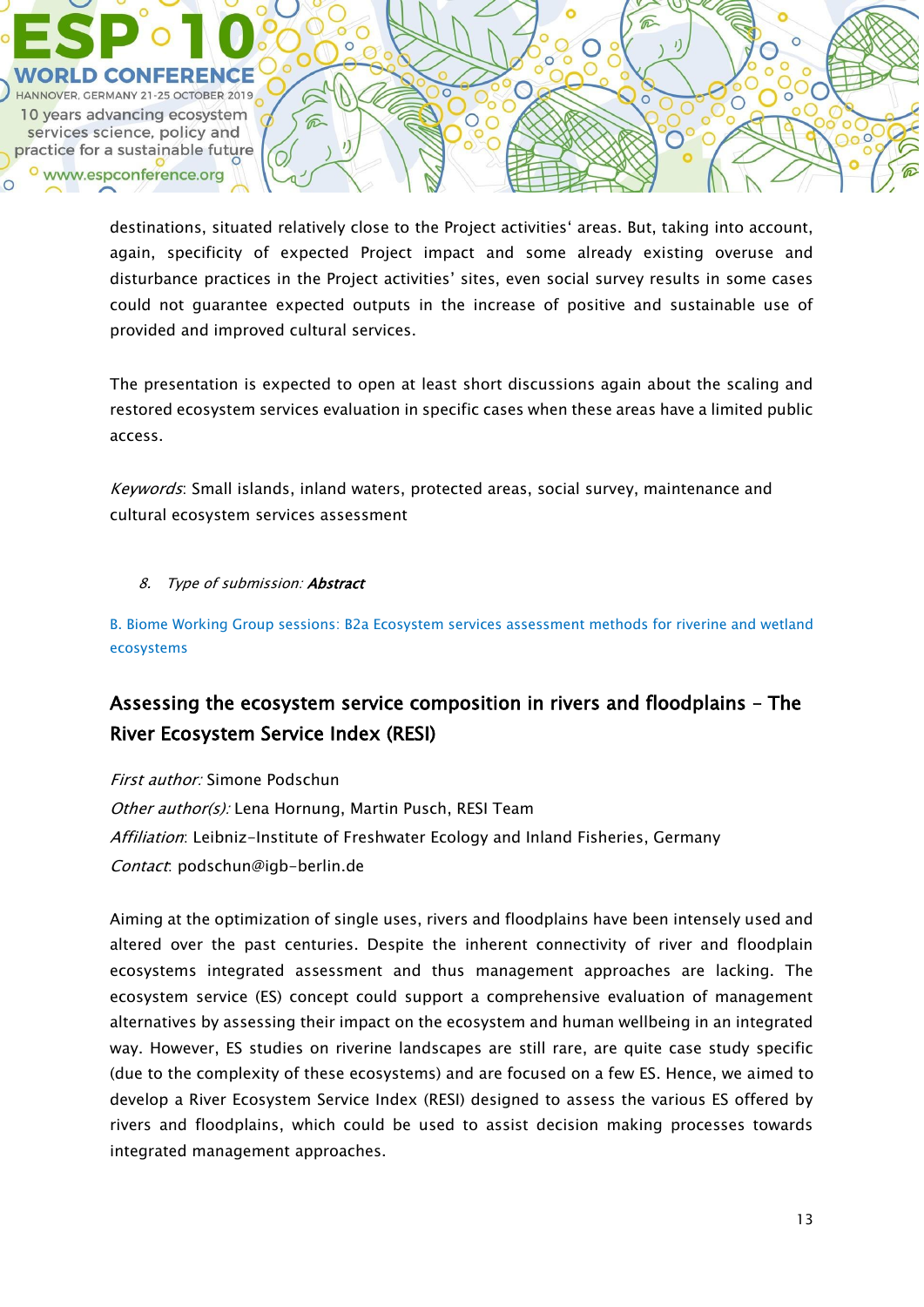

destinations, situated relatively close to the Project activities' areas. But, taking into account, again, specificity of expected Project impact and some already existing overuse and disturbance practices in the Project activities' sites, even social survey results in some cases could not guarantee expected outputs in the increase of positive and sustainable use of provided and improved cultural services.

The presentation is expected to open at least short discussions again about the scaling and restored ecosystem services evaluation in specific cases when these areas have a limited public access.

Keywords: Small islands, inland waters, protected areas, social survey, maintenance and cultural ecosystem services assessment

### 8. Type of submission: Abstract

B. Biome Working Group sessions: B2a Ecosystem services assessment methods for riverine and wetland ecosystems

# Assessing the ecosystem service composition in rivers and floodplains – The River Ecosystem Service Index (RESI)

First author: Simone Podschun Other author(s): Lena Hornung, Martin Pusch, RESI Team Affiliation: Leibniz-Institute of Freshwater Ecology and Inland Fisheries, Germany Contact: podschun@igb-berlin.de

Aiming at the optimization of single uses, rivers and floodplains have been intensely used and altered over the past centuries. Despite the inherent connectivity of river and floodplain ecosystems integrated assessment and thus management approaches are lacking. The ecosystem service (ES) concept could support a comprehensive evaluation of management alternatives by assessing their impact on the ecosystem and human wellbeing in an integrated way. However, ES studies on riverine landscapes are still rare, are quite case study specific (due to the complexity of these ecosystems) and are focused on a few ES. Hence, we aimed to develop a River Ecosystem Service Index (RESI) designed to assess the various ES offered by rivers and floodplains, which could be used to assist decision making processes towards integrated management approaches.

 $\bigcirc$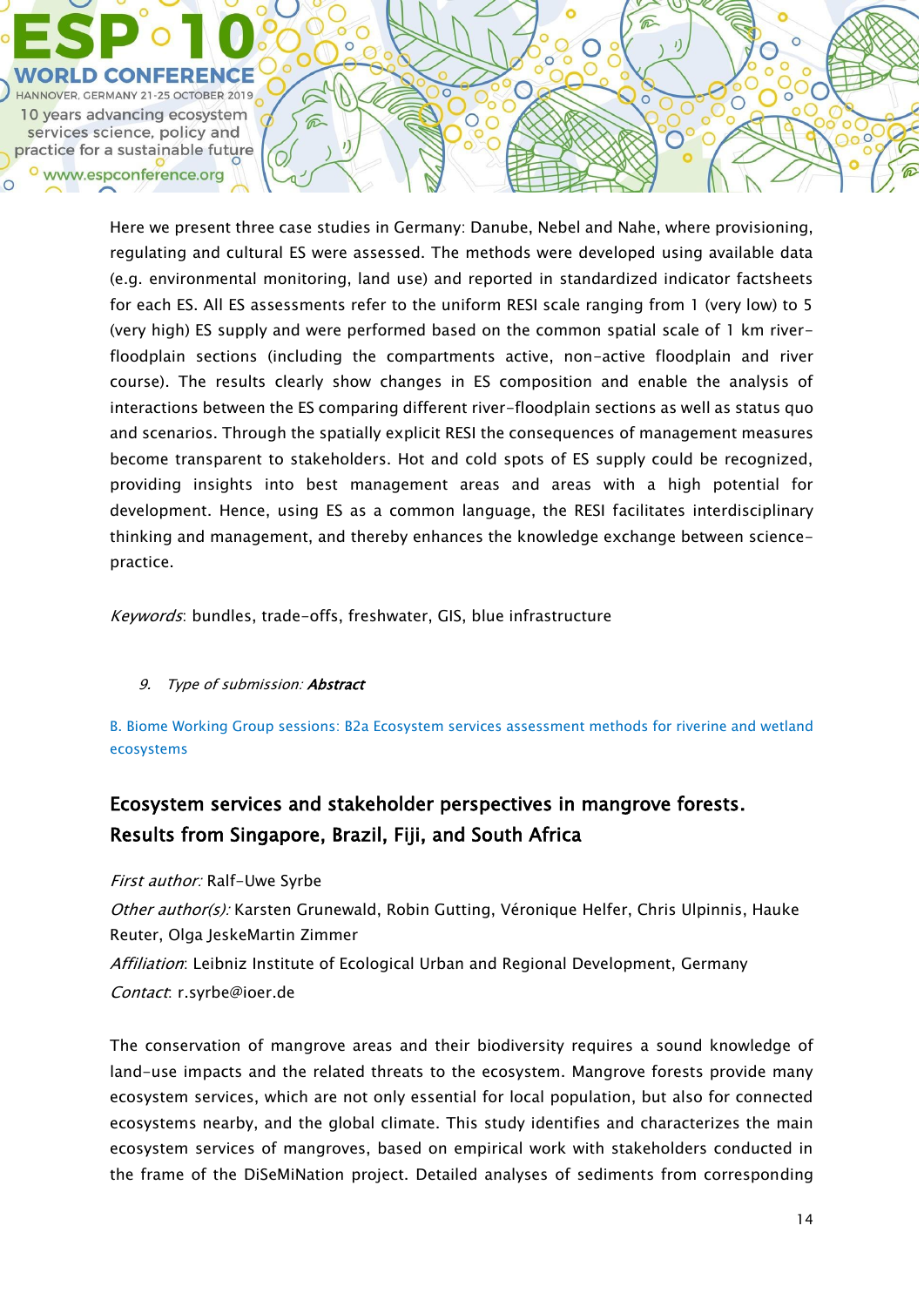

Here we present three case studies in Germany: Danube, Nebel and Nahe, where provisioning, regulating and cultural ES were assessed. The methods were developed using available data (e.g. environmental monitoring, land use) and reported in standardized indicator factsheets for each ES. All ES assessments refer to the uniform RESI scale ranging from 1 (very low) to 5 (very high) ES supply and were performed based on the common spatial scale of 1 km riverfloodplain sections (including the compartments active, non-active floodplain and river course). The results clearly show changes in ES composition and enable the analysis of interactions between the ES comparing different river-floodplain sections as well as status quo and scenarios. Through the spatially explicit RESI the consequences of management measures become transparent to stakeholders. Hot and cold spots of ES supply could be recognized, providing insights into best management areas and areas with a high potential for development. Hence, using ES as a common language, the RESI facilitates interdisciplinary thinking and management, and thereby enhances the knowledge exchange between sciencepractice.

 $\subset$ 

 $\bigcirc$ 

Keywords: bundles, trade-offs, freshwater, GIS, blue infrastructure

## 9. Type of submission: **Abstract**

B. Biome Working Group sessions: B2a Ecosystem services assessment methods for riverine and wetland ecosystems

# Ecosystem services and stakeholder perspectives in mangrove forests. Results from Singapore, Brazil, Fiji, and South Africa

First author: Ralf-Uwe Syrbe

Other author(s): Karsten Grunewald, Robin Gutting, Véronique Helfer, Chris Ulpinnis, Hauke Reuter, Olga JeskeMartin Zimmer

Affiliation: Leibniz Institute of Ecological Urban and Regional Development, Germany Contact: r.syrbe@ioer.de

The conservation of mangrove areas and their biodiversity requires a sound knowledge of land-use impacts and the related threats to the ecosystem. Mangrove forests provide many ecosystem services, which are not only essential for local population, but also for connected ecosystems nearby, and the global climate. This study identifies and characterizes the main ecosystem services of mangroves, based on empirical work with stakeholders conducted in the frame of the DiSeMiNation project. Detailed analyses of sediments from corresponding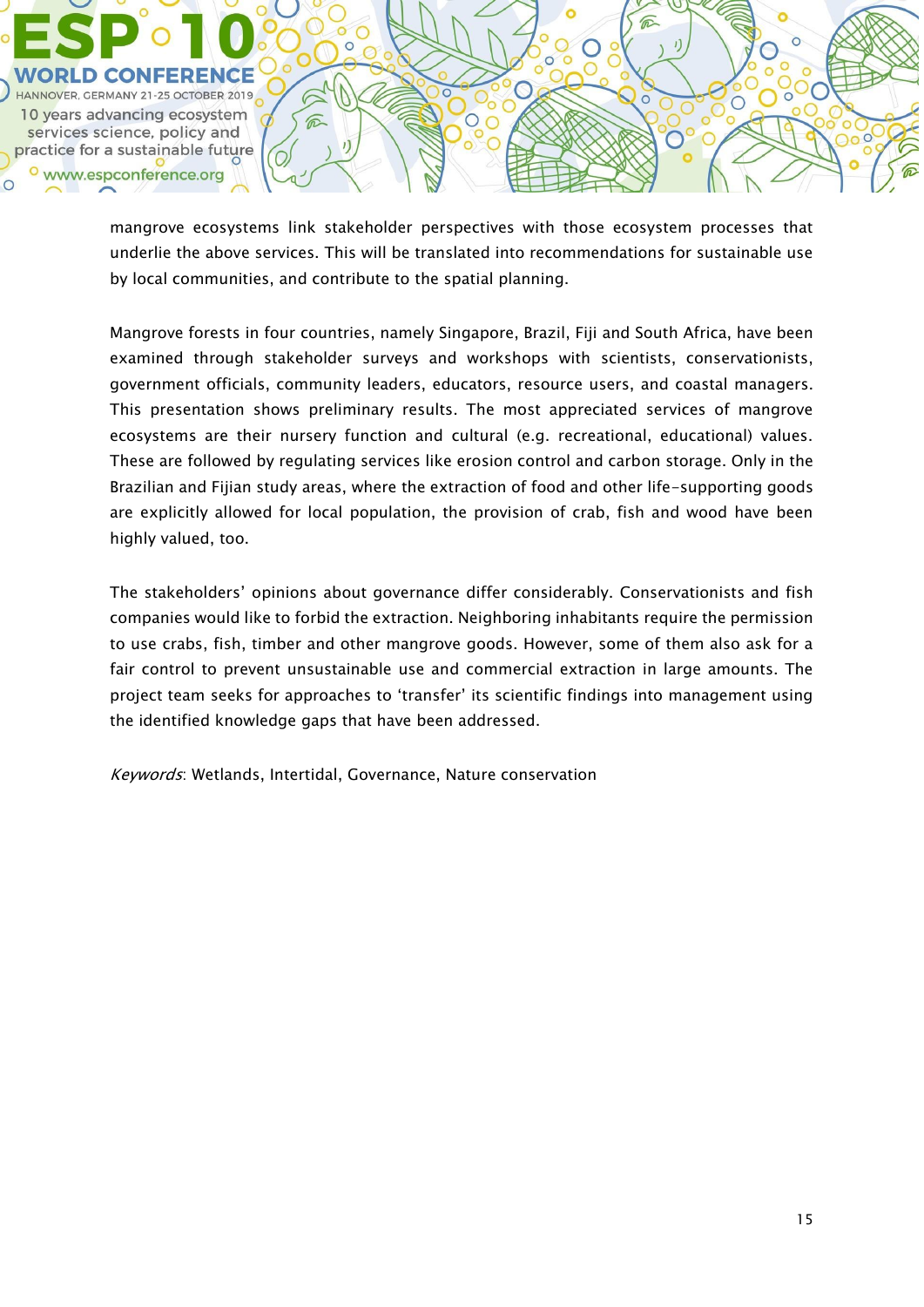

mangrove ecosystems link stakeholder perspectives with those ecosystem processes that underlie the above services. This will be translated into recommendations for sustainable use by local communities, and contribute to the spatial planning.

 $\circ$ 

 $\bigcirc$ 

 $\mathbf{I}$ 

 $\overline{\circ}$ 

 $\bigcirc$ 

Mangrove forests in four countries, namely Singapore, Brazil, Fiji and South Africa, have been examined through stakeholder surveys and workshops with scientists, conservationists, government officials, community leaders, educators, resource users, and coastal managers. This presentation shows preliminary results. The most appreciated services of mangrove ecosystems are their nursery function and cultural (e.g. recreational, educational) values. These are followed by regulating services like erosion control and carbon storage. Only in the Brazilian and Fijian study areas, where the extraction of food and other life-supporting goods are explicitly allowed for local population, the provision of crab, fish and wood have been highly valued, too.

The stakeholders' opinions about governance differ considerably. Conservationists and fish companies would like to forbid the extraction. Neighboring inhabitants require the permission to use crabs, fish, timber and other mangrove goods. However, some of them also ask for a fair control to prevent unsustainable use and commercial extraction in large amounts. The project team seeks for approaches to 'transfer' its scientific findings into management using the identified knowledge gaps that have been addressed.

Keywords: Wetlands, Intertidal, Governance, Nature conservation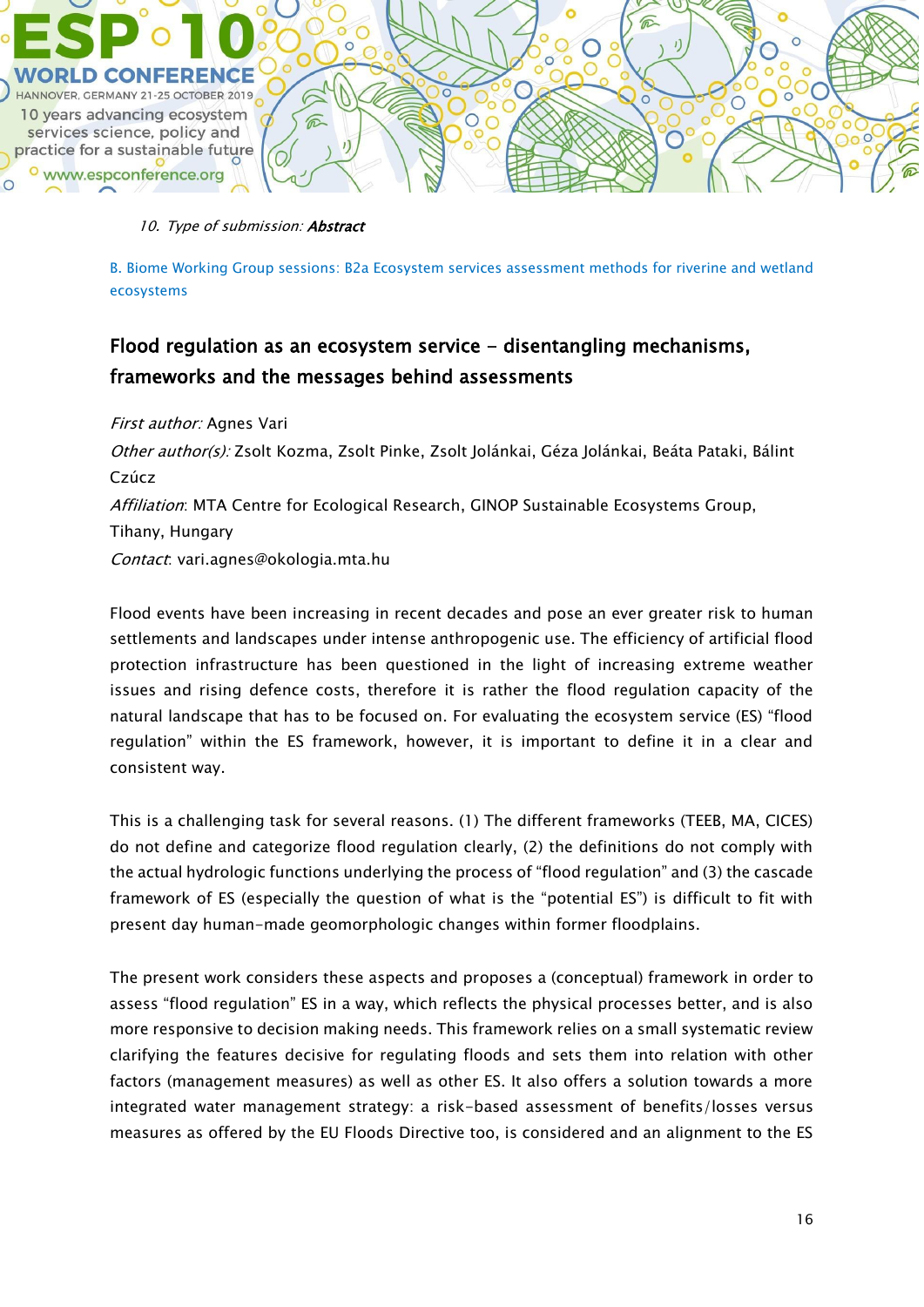

#### 10. Type of submission: Abstract

B. Biome Working Group sessions: B2a Ecosystem services assessment methods for riverine and wetland ecosystems

# Flood regulation as an ecosystem service - disentangling mechanisms, frameworks and the messages behind assessments

### First author: Agnes Vari

Other author(s): Zsolt Kozma, Zsolt Pinke, Zsolt Jolánkai, Géza Jolánkai, Beáta Pataki, Bálint Czúcz Affiliation: MTA Centre for Ecological Research, GINOP Sustainable Ecosystems Group, Tihany, Hungary Contact: vari.agnes@okologia.mta.hu

Flood events have been increasing in recent decades and pose an ever greater risk to human settlements and landscapes under intense anthropogenic use. The efficiency of artificial flood protection infrastructure has been questioned in the light of increasing extreme weather issues and rising defence costs, therefore it is rather the flood regulation capacity of the natural landscape that has to be focused on. For evaluating the ecosystem service (ES) "flood regulation" within the ES framework, however, it is important to define it in a clear and consistent way.

This is a challenging task for several reasons. (1) The different frameworks (TEEB, MA, CICES) do not define and categorize flood regulation clearly, (2) the definitions do not comply with the actual hydrologic functions underlying the process of "flood regulation" and (3) the cascade framework of ES (especially the question of what is the "potential ES") is difficult to fit with present day human-made geomorphologic changes within former floodplains.

The present work considers these aspects and proposes a (conceptual) framework in order to assess "flood regulation" ES in a way, which reflects the physical processes better, and is also more responsive to decision making needs. This framework relies on a small systematic review clarifying the features decisive for regulating floods and sets them into relation with other factors (management measures) as well as other ES. It also offers a solution towards a more integrated water management strategy: a risk-based assessment of benefits/losses versus measures as offered by the EU Floods Directive too, is considered and an alignment to the ES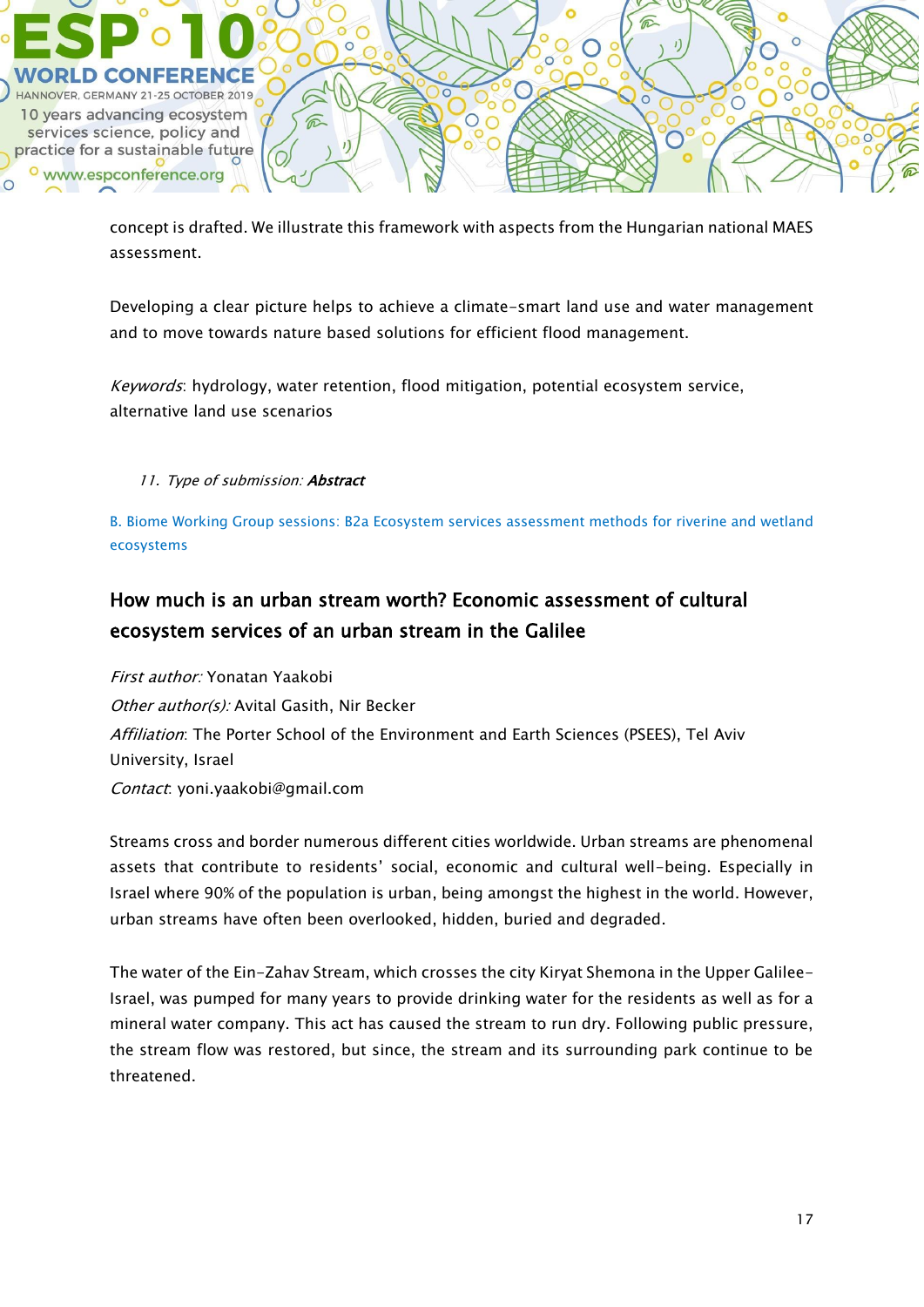

concept is drafted. We illustrate this framework with aspects from the Hungarian national MAES assessment.

Developing a clear picture helps to achieve a climate-smart land use and water management and to move towards nature based solutions for efficient flood management.

Keywords: hydrology, water retention, flood mitigation, potential ecosystem service, alternative land use scenarios

## 11. Type of submission: Abstract

B. Biome Working Group sessions: B2a Ecosystem services assessment methods for riverine and wetland ecosystems

# How much is an urban stream worth? Economic assessment of cultural ecosystem services of an urban stream in the Galilee

First author: Yonatan Yaakobi Other author(s): Avital Gasith, Nir Becker Affiliation: The Porter School of the Environment and Earth Sciences (PSEES), Tel Aviv University, Israel Contact: yoni.yaakobi@gmail.com

Streams cross and border numerous different cities worldwide. Urban streams are phenomenal assets that contribute to residents' social, economic and cultural well-being. Especially in Israel where 90% of the population is urban, being amongst the highest in the world. However, urban streams have often been overlooked, hidden, buried and degraded.

The water of the Ein-Zahav Stream, which crosses the city Kiryat Shemona in the Upper Galilee-Israel, was pumped for many years to provide drinking water for the residents as well as for a mineral water company. This act has caused the stream to run dry. Following public pressure, the stream flow was restored, but since, the stream and its surrounding park continue to be threatened.